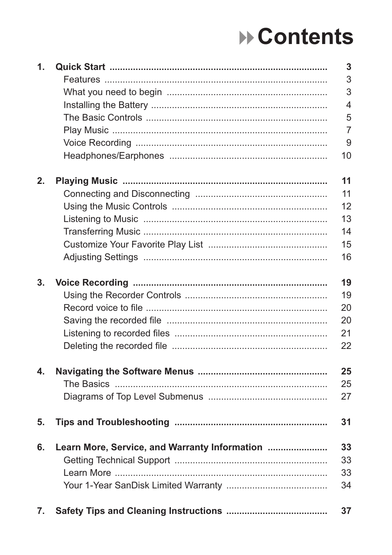# **▶ Contents**

| 1. |                                               | 3              |
|----|-----------------------------------------------|----------------|
|    |                                               | 3              |
|    |                                               | 3              |
|    |                                               | $\overline{4}$ |
|    |                                               | 5              |
|    |                                               | $\overline{7}$ |
|    |                                               | 9              |
|    |                                               | 10             |
| 2. |                                               | 11             |
|    |                                               | 11             |
|    |                                               | 12             |
|    |                                               | 13             |
|    |                                               | 14             |
|    |                                               | 15             |
|    |                                               | 16             |
| 3. |                                               | 19             |
|    |                                               | 19             |
|    |                                               | 20             |
|    |                                               | 20             |
|    |                                               | 21             |
|    |                                               | 22             |
| 4. |                                               | 25             |
|    |                                               | 25             |
|    |                                               | 27             |
| 5. |                                               | 31             |
| 6. | Learn More, Service, and Warranty Information | 33             |
|    |                                               | 33             |
|    |                                               | 33             |
|    |                                               | 34             |
| 7. |                                               | 37             |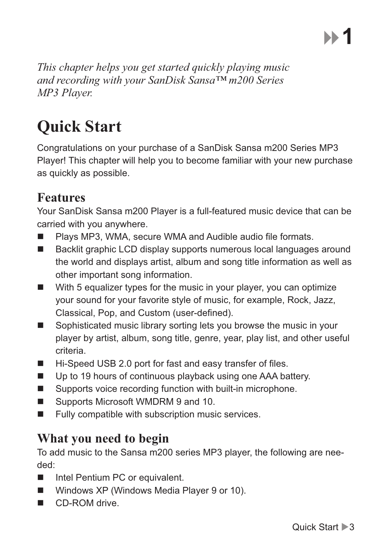*This chapter helps you get started quickly playing music and recording with your SanDisk Sansa™ m200 Series MP3 Player.*

## **Quick Start**

Congratulations on your purchase of a SanDisk Sansa m200 Series MP3 Player! This chapter will help you to become familiar with your new purchase as quickly as possible.

#### **Features**

Your SanDisk Sansa m200 Player is a full-featured music device that can be carried with you anywhere.

- Plays MP3, WMA, secure WMA and Audible audio file formats.
- Backlit graphic LCD display supports numerous local languages around the world and displays artist, album and song title information as well as other important song information.
- With 5 equalizer types for the music in your player, you can optimize your sound for your favorite style of music, for example, Rock, Jazz, Classical, Pop, and Custom (user-defined).
- Sophisticated music library sorting lets you browse the music in your player by artist, album, song title, genre, year, play list, and other useful criteria.
- Hi-Speed USB 2.0 port for fast and easy transfer of files.
- Up to 19 hours of continuous playback using one AAA battery.
- Supports voice recording function with built-in microphone.
- Supports Microsoft WMDRM 9 and 10.
- $\blacksquare$  Fully compatible with subscription music services.

#### **What you need to begin**

To add music to the Sansa m200 series MP3 player, the following are needed:

- Intel Pentium PC or equivalent.
- Windows XP (Windows Media Player 9 or 10).
- CD-ROM drive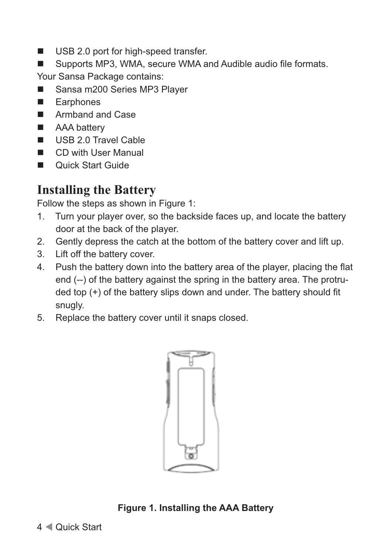- USB 2.0 port for high-speed transfer.
- Supports MP3, WMA, secure WMA and Audible audio file formats. Your Sansa Package contains:
- Sansa m200 Series MP3 Player
- **Earphones**
- **E** Armband and Case
- **AAA** battery
- USB 2.0 Travel Cable
- **CD** with User Manual
- **Duick Start Guide**

#### **Installing the Battery**

Follow the steps as shown in Figure 1:

- 1. Turn your player over, so the backside faces up, and locate the battery door at the back of the player.
- 2. Gently depress the catch at the bottom of the battery cover and lift up.
- 3. Lift off the battery cover.
- 4. Push the battery down into the battery area of the player, placing the flat end (--) of the battery against the spring in the battery area. The protruded top (+) of the battery slips down and under. The battery should fit snugly.
- 5. Replace the battery cover until it snaps closed.



**Figure 1. Installing the AAA Battery**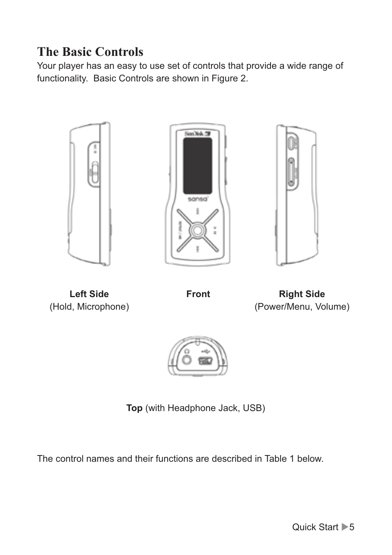#### **The Basic Controls**

Your player has an easy to use set of controls that provide a wide range of functionality. Basic Controls are shown in Figure 2.



**Top** (with Headphone Jack, USB)

The control names and their functions are described in Table 1 below.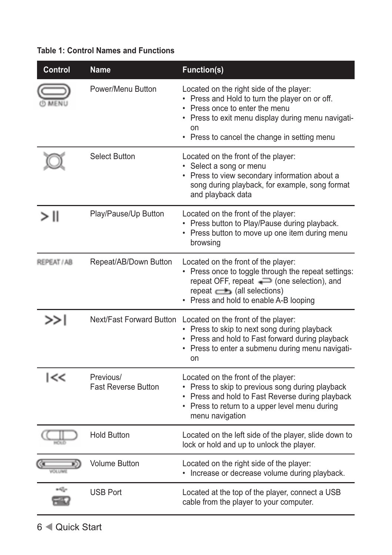#### **Table 1: Control Names and Functions**

| Control     | <b>Name</b>                             | <b>Function(s)</b>                                                                                                                                                                                                                       |
|-------------|-----------------------------------------|------------------------------------------------------------------------------------------------------------------------------------------------------------------------------------------------------------------------------------------|
|             | Power/Menu Button                       | Located on the right side of the player:<br>• Press and Hold to turn the player on or off.<br>• Press once to enter the menu<br>• Press to exit menu display during menu navigati-<br>on<br>• Press to cancel the change in setting menu |
|             | Select Button                           | Located on the front of the player:<br>• Select a song or menu<br>• Press to view secondary information about a<br>song during playback, for example, song format<br>and playback data                                                   |
| ⋗∥          | Play/Pause/Up Button                    | Located on the front of the player:<br>• Press button to Play/Pause during playback.<br>• Press button to move up one item during menu<br>browsing                                                                                       |
| REPEAT / AB | Repeat/AB/Down Button                   | Located on the front of the player:<br>• Press once to toggle through the repeat settings:<br>repeat OFF, repeat - (one selection), and<br>repeat (all selections)<br>• Press and hold to enable A-B looping                             |
| וכי         |                                         | Next/Fast Forward Button Located on the front of the player:<br>• Press to skip to next song during playback<br>• Press and hold to Fast forward during playback<br>• Press to enter a submenu during menu navigati-<br>on               |
| <<          | Previous/<br><b>Fast Reverse Button</b> | Located on the front of the player:<br>• Press to skip to previous song during playback<br>• Press and hold to Fast Reverse during playback<br>• Press to return to a upper level menu during<br>menu navigation                         |
|             | <b>Hold Button</b>                      | Located on the left side of the player, slide down to<br>lock or hold and up to unlock the player.                                                                                                                                       |
|             | <b>Volume Button</b>                    | Located on the right side of the player:<br>• Increase or decrease volume during playback.                                                                                                                                               |
|             | <b>USB Port</b>                         | Located at the top of the player, connect a USB<br>cable from the player to your computer.                                                                                                                                               |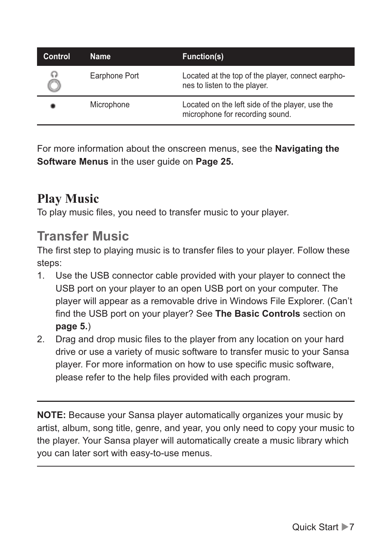| Control | Name          | <b>Function(s)</b>                                                                 |
|---------|---------------|------------------------------------------------------------------------------------|
|         | Earphone Port | Located at the top of the player, connect earpho-<br>nes to listen to the player.  |
|         | Microphone    | Located on the left side of the player, use the<br>microphone for recording sound. |

For more information about the onscreen menus, see the **Navigating the Software Menus** in the user guide on **Page 25.**

#### **Play Music**

To play music files, you need to transfer music to your player.

#### **Transfer Music**

The first step to playing music is to transfer files to your player. Follow these steps:

- 1. Use the USB connector cable provided with your player to connect the USB port on your player to an open USB port on your computer. The player will appear as a removable drive in Windows File Explorer. (Can't find the USB port on your player? See **The Basic Controls** section on **page 5.**)
- 2. Drag and drop music files to the player from any location on your hard drive or use a variety of music software to transfer music to your Sansa player. For more information on how to use specific music software, please refer to the help files provided with each program.

**NOTE:** Because your Sansa player automatically organizes your music by artist, album, song title, genre, and year, you only need to copy your music to the player. Your Sansa player will automatically create a music library which you can later sort with easy-to-use menus.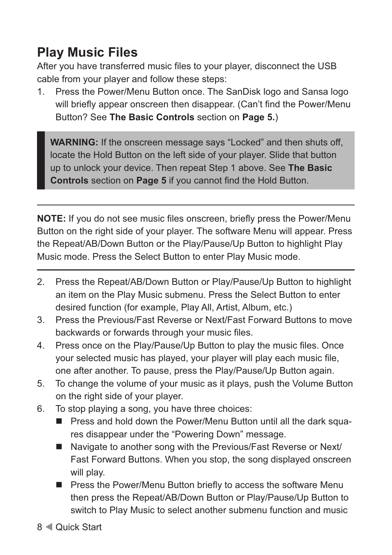### **Play Music Files**

After you have transferred music files to your player, disconnect the USB cable from your player and follow these steps:

1. Press the Power/Menu Button once. The SanDisk logo and Sansa logo will briefly appear onscreen then disappear. (Can't find the Power/Menu Button? See **The Basic Controls** section on **Page 5.**)

**WARNING:** If the onscreen message says "Locked" and then shuts off, locate the Hold Button on the left side of your player. Slide that button up to unlock your device. Then repeat Step 1 above. See **The Basic Controls** section on **Page 5** if you cannot find the Hold Button.

**NOTE:** If you do not see music files onscreen, briefly press the Power/Menu Button on the right side of your player. The software Menu will appear. Press the Repeat/AB/Down Button or the Play/Pause/Up Button to highlight Play Music mode. Press the Select Button to enter Play Music mode.

- 2. Press the Repeat/AB/Down Button or Play/Pause/Up Button to highlight an item on the Play Music submenu. Press the Select Button to enter desired function (for example, Play All, Artist, Album, etc.)
- 3. Press the Previous/Fast Reverse or Next/Fast Forward Buttons to move backwards or forwards through your music files.
- 4. Press once on the Play/Pause/Up Button to play the music files. Once your selected music has played, your player will play each music file, one after another. To pause, press the Play/Pause/Up Button again.
- 5. To change the volume of your music as it plays, push the Volume Button on the right side of your player.
- 6. To stop playing a song, you have three choices:
	- Press and hold down the Power/Menu Button until all the dark squares disappear under the "Powering Down" message.
	- Navigate to another song with the Previous/Fast Reverse or Next/ Fast Forward Buttons. When you stop, the song displayed onscreen will play.
	- **Press the Power/Menu Button briefly to access the software Menu** then press the Repeat/AB/Down Button or Play/Pause/Up Button to switch to Play Music to select another submenu function and music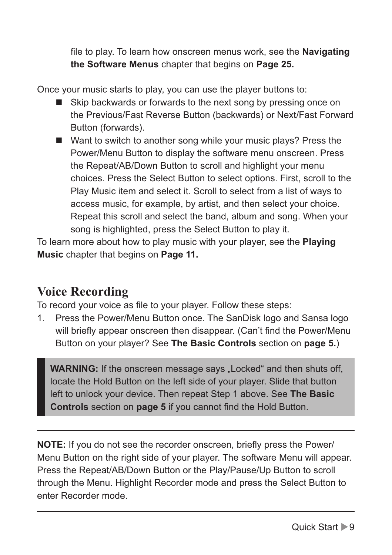file to play. To learn how onscreen menus work, see the **Navigating the Software Menus** chapter that begins on **Page 25.**

Once your music starts to play, you can use the player buttons to:

- Skip backwards or forwards to the next song by pressing once on the Previous/Fast Reverse Button (backwards) or Next/Fast Forward Button (forwards).
- Want to switch to another song while your music plays? Press the Power/Menu Button to display the software menu onscreen. Press the Repeat/AB/Down Button to scroll and highlight your menu choices. Press the Select Button to select options. First, scroll to the Play Music item and select it. Scroll to select from a list of ways to access music, for example, by artist, and then select your choice. Repeat this scroll and select the band, album and song. When your song is highlighted, press the Select Button to play it.

To learn more about how to play music with your player, see the **Playing Music** chapter that begins on **Page 11.**

#### **Voice Recording**

 $\overline{a}$ 

To record your voice as file to your player. Follow these steps:

1. Press the Power/Menu Button once. The SanDisk logo and Sansa logo will briefly appear onscreen then disappear. (Can't find the Power/Menu Button on your player? See **The Basic Controls** section on **page 5.**)

**WARNING:** If the onscreen message says "Locked" and then shuts off, locate the Hold Button on the left side of your player. Slide that button left to unlock your device. Then repeat Step 1 above. See **The Basic Controls** section on **page 5** if you cannot find the Hold Button.

**NOTE:** If you do not see the recorder onscreen, briefly press the Power/ Menu Button on the right side of your player. The software Menu will appear. Press the Repeat/AB/Down Button or the Play/Pause/Up Button to scroll through the Menu. Highlight Recorder mode and press the Select Button to enter Recorder mode.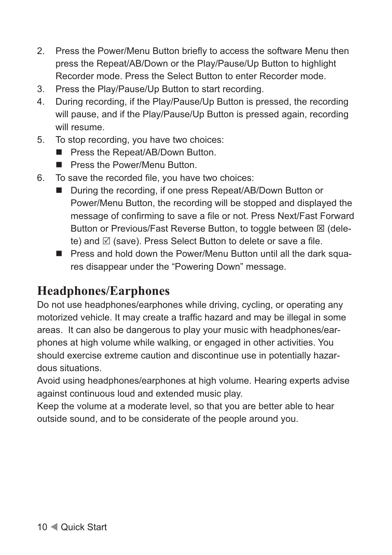- 2. Press the Power/Menu Button briefly to access the software Menu then press the Repeat/AB/Down or the Play/Pause/Up Button to highlight Recorder mode. Press the Select Button to enter Recorder mode.
- 3. Press the Play/Pause/Up Button to start recording.
- 4. During recording, if the Play/Pause/Up Button is pressed, the recording will pause, and if the Play/Pause/Up Button is pressed again, recording will resume.
- 5. To stop recording, you have two choices:
	- **Press the Repeat/AB/Down Button.**
	- **Press the Power/Menu Button.**
- 6. To save the recorded file, you have two choices:
	- During the recording, if one press Repeat/AB/Down Button or Power/Menu Button, the recording will be stopped and displayed the message of confirming to save a file or not. Press Next/Fast Forward Button or Previous/Fast Reverse Button, to toggle between  $\boxtimes$  (delete) and  $\overline{\boxtimes}$  (save). Press Select Button to delete or save a file.
	- Press and hold down the Power/Menu Button until all the dark squares disappear under the "Powering Down" message.

#### **Headphones/Earphones**

Do not use headphones/earphones while driving, cycling, or operating any motorized vehicle. It may create a traffic hazard and may be illegal in some areas. It can also be dangerous to play your music with headphones/earphones at high volume while walking, or engaged in other activities. You should exercise extreme caution and discontinue use in potentially hazardous situations.

Avoid using headphones/earphones at high volume. Hearing experts advise against continuous loud and extended music play.

Keep the volume at a moderate level, so that you are better able to hear outside sound, and to be considerate of the people around you.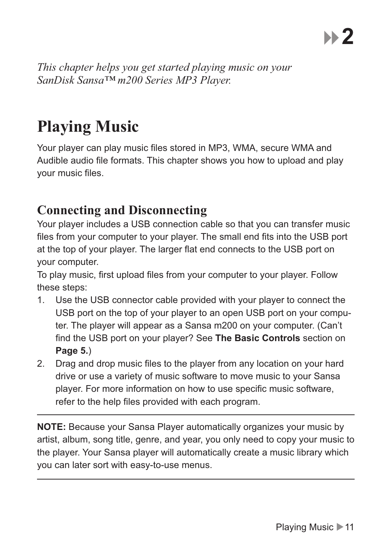*This chapter helps you get started playing music on your SanDisk Sansa™ m200 Series MP3 Player.*

## **Playing Music**

Your player can play music files stored in MP3, WMA, secure WMA and Audible audio file formats. This chapter shows you how to upload and play your music files.

#### **Connecting and Disconnecting**

Your player includes a USB connection cable so that you can transfer music files from your computer to your player. The small end fits into the USB port at the top of your player. The larger flat end connects to the USB port on your computer.

To play music, first upload files from your computer to your player. Follow these steps:

- 1. Use the USB connector cable provided with your player to connect the USB port on the top of your player to an open USB port on your computer. The player will appear as a Sansa m200 on your computer. (Can't find the USB port on your player? See **The Basic Controls** section on **Page 5.**)
- 2. Drag and drop music files to the player from any location on your hard drive or use a variety of music software to move music to your Sansa player. For more information on how to use specific music software, refer to the help files provided with each program.

**NOTE:** Because your Sansa Player automatically organizes your music by artist, album, song title, genre, and year, you only need to copy your music to the player. Your Sansa player will automatically create a music library which you can later sort with easy-to-use menus.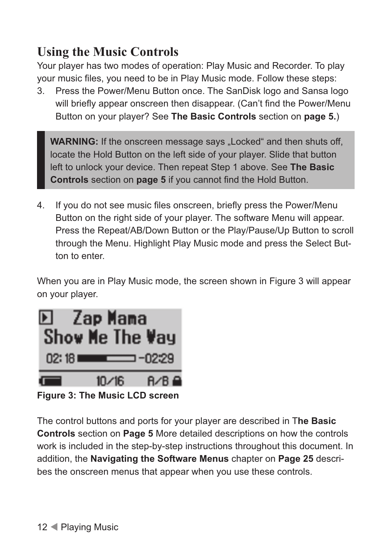#### **Using the Music Controls**

Your player has two modes of operation: Play Music and Recorder. To play your music files, you need to be in Play Music mode. Follow these steps:

3. Press the Power/Menu Button once. The SanDisk logo and Sansa logo will briefly appear onscreen then disappear. (Can't find the Power/Menu Button on your player? See **The Basic Controls** section on **page 5.**)

**WARNING:** If the onscreen message says "Locked" and then shuts off, locate the Hold Button on the left side of your player. Slide that button left to unlock your device. Then repeat Step 1 above. See **The Basic Controls** section on **page 5** if you cannot find the Hold Button.

4. If you do not see music files onscreen, briefly press the Power/Menu Button on the right side of your player. The software Menu will appear. Press the Repeat/AB/Down Button or the Play/Pause/Up Button to scroll through the Menu. Highlight Play Music mode and press the Select Button to enter.

When you are in Play Music mode, the screen shown in Figure 3 will appear on your player.



**Figure 3: The Music LCD screen**

The control buttons and ports for your player are described in T**he Basic Controls** section on **Page 5** More detailed descriptions on how the controls work is included in the step-by-step instructions throughout this document. In addition, the **Navigating the Software Menus** chapter on **Page 25** describes the onscreen menus that appear when you use these controls.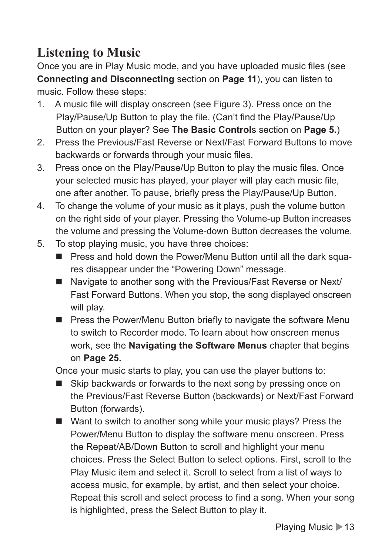### **Listening to Music**

Once you are in Play Music mode, and you have uploaded music files (see **Connecting and Disconnecting** section on **Page 11**), you can listen to music. Follow these steps:

- 1. A music file will display onscreen (see Figure 3). Press once on the Play/Pause/Up Button to play the file. (Can't find the Play/Pause/Up Button on your player? See **The Basic Control**s section on **Page 5.**)
- 2. Press the Previous/Fast Reverse or Next/Fast Forward Buttons to move backwards or forwards through your music files.
- 3. Press once on the Play/Pause/Up Button to play the music files. Once your selected music has played, your player will play each music file, one after another. To pause, briefly press the Play/Pause/Up Button.
- 4. To change the volume of your music as it plays, push the volume button on the right side of your player. Pressing the Volume-up Button increases the volume and pressing the Volume-down Button decreases the volume.
- 5. To stop playing music, you have three choices:
	- Press and hold down the Power/Menu Button until all the dark squares disappear under the "Powering Down" message.
	- Navigate to another song with the Previous/Fast Reverse or Next/ Fast Forward Buttons. When you stop, the song displayed onscreen will play.
	- **Press the Power/Menu Button briefly to navigate the software Menu** to switch to Recorder mode. To learn about how onscreen menus work, see the **Navigating the Software Menus** chapter that begins on **Page 25.**

Once your music starts to play, you can use the player buttons to:

- Skip backwards or forwards to the next song by pressing once on the Previous/Fast Reverse Button (backwards) or Next/Fast Forward Button (forwards).
- Want to switch to another song while your music plays? Press the Power/Menu Button to display the software menu onscreen. Press the Repeat/AB/Down Button to scroll and highlight your menu choices. Press the Select Button to select options. First, scroll to the Play Music item and select it. Scroll to select from a list of ways to access music, for example, by artist, and then select your choice. Repeat this scroll and select process to find a song. When your song is highlighted, press the Select Button to play it.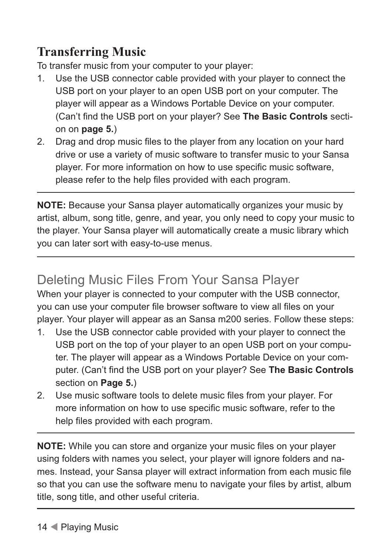### **Transferring Music**

To transfer music from your computer to your player:

- 1. Use the USB connector cable provided with your player to connect the USB port on your player to an open USB port on your computer. The player will appear as a Windows Portable Device on your computer. (Can't find the USB port on your player? See **The Basic Controls** section on **page 5.**)
- 2. Drag and drop music files to the player from any location on your hard drive or use a variety of music software to transfer music to your Sansa player. For more information on how to use specific music software, please refer to the help files provided with each program.

**NOTE:** Because your Sansa player automatically organizes your music by artist, album, song title, genre, and year, you only need to copy your music to the player. Your Sansa player will automatically create a music library which you can later sort with easy-to-use menus.

### Deleting Music Files From Your Sansa Player

When your player is connected to your computer with the USB connector, you can use your computer file browser software to view all files on your player. Your player will appear as an Sansa m200 series. Follow these steps:

- 1. Use the USB connector cable provided with your player to connect the USB port on the top of your player to an open USB port on your computer. The player will appear as a Windows Portable Device on your computer. (Can't find the USB port on your player? See **The Basic Controls** section on **Page 5.**)
- 2. Use music software tools to delete music files from your player. For more information on how to use specific music software, refer to the help files provided with each program.

**NOTE:** While you can store and organize your music files on your player using folders with names you select, your player will ignore folders and names. Instead, your Sansa player will extract information from each music file so that you can use the software menu to navigate your files by artist, album title, song title, and other useful criteria.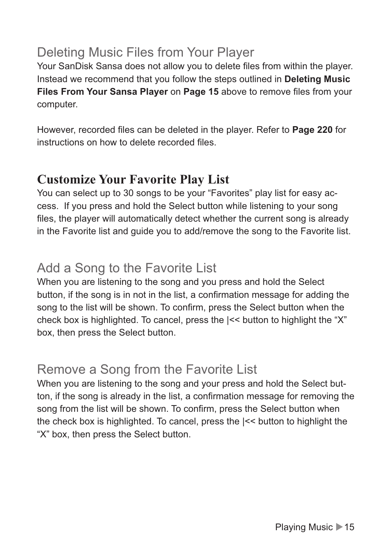#### Deleting Music Files from Your Player

Your SanDisk Sansa does not allow you to delete files from within the player. Instead we recommend that you follow the steps outlined in **Deleting Music Files From Your Sansa Player** on **Page 15** above to remove files from your computer.

However, recorded files can be deleted in the player. Refer to **Page 220** for instructions on how to delete recorded files.

#### **Customize Your Favorite Play List**

You can select up to 30 songs to be your "Favorites" play list for easy access. If you press and hold the Select button while listening to your song files, the player will automatically detect whether the current song is already in the Favorite list and guide you to add/remove the song to the Favorite list.

#### Add a Song to the Favorite List

When you are listening to the song and you press and hold the Select button, if the song is in not in the list, a confirmation message for adding the song to the list will be shown. To confirm, press the Select button when the check box is highlighted. To cancel, press the |<< button to highlight the "X" box, then press the Select button.

#### Remove a Song from the Favorite List

When you are listening to the song and your press and hold the Select button, if the song is already in the list, a confirmation message for removing the song from the list will be shown. To confirm, press the Select button when the check box is highlighted. To cancel, press the |<< button to highlight the "X" box, then press the Select button.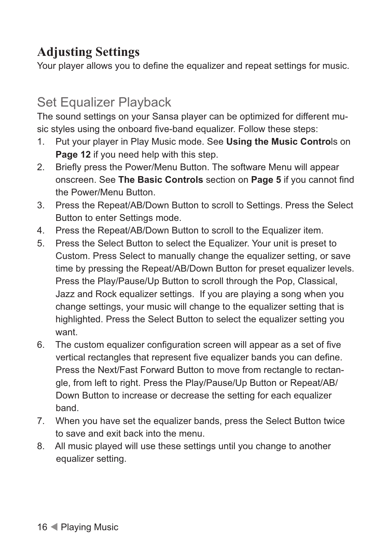#### **Adjusting Settings**

Your player allows you to define the equalizer and repeat settings for music.

#### Set Equalizer Playback

The sound settings on your Sansa player can be optimized for different music styles using the onboard five-band equalizer. Follow these steps:

- 1. Put your player in Play Music mode. See **Using the Music Contro**ls on **Page 12** if you need help with this step.
- 2. Briefly press the Power/Menu Button. The software Menu will appear onscreen. See **The Basic Controls** section on **Page 5** if you cannot find the Power/Menu Button.
- 3. Press the Repeat/AB/Down Button to scroll to Settings. Press the Select Button to enter Settings mode.
- 4. Press the Repeat/AB/Down Button to scroll to the Equalizer item.
- 5. Press the Select Button to select the Equalizer. Your unit is preset to Custom. Press Select to manually change the equalizer setting, or save time by pressing the Repeat/AB/Down Button for preset equalizer levels. Press the Play/Pause/Up Button to scroll through the Pop, Classical, Jazz and Rock equalizer settings. If you are playing a song when you change settings, your music will change to the equalizer setting that is highlighted. Press the Select Button to select the equalizer setting you want.
- 6. The custom equalizer configuration screen will appear as a set of five vertical rectangles that represent five equalizer bands you can define. Press the Next/Fast Forward Button to move from rectangle to rectangle, from left to right. Press the Play/Pause/Up Button or Repeat/AB/ Down Button to increase or decrease the setting for each equalizer band.
- 7. When you have set the equalizer bands, press the Select Button twice to save and exit back into the menu.
- 8. All music played will use these settings until you change to another equalizer setting.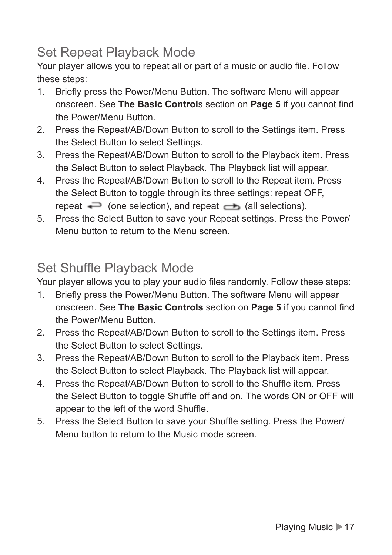#### Set Repeat Playback Mode

Your player allows you to repeat all or part of a music or audio file. Follow these steps:

- 1. Briefly press the Power/Menu Button. The software Menu will appear onscreen. See **The Basic Control**s section on **Page 5** if you cannot find the Power/Menu Button.
- 2. Press the Repeat/AB/Down Button to scroll to the Settings item. Press the Select Button to select Settings.
- 3. Press the Repeat/AB/Down Button to scroll to the Playback item. Press the Select Button to select Playback. The Playback list will appear.
- 4. Press the Repeat/AB/Down Button to scroll to the Repeat item. Press the Select Button to toggle through its three settings: repeat OFF, repeat  $\implies$  (one selection), and repeat  $\implies$  (all selections).
- 5. Press the Select Button to save your Repeat settings. Press the Power/ Menu button to return to the Menu screen.

#### Set Shuffle Playback Mode

Your player allows you to play your audio files randomly. Follow these steps:

- 1. Briefly press the Power/Menu Button. The software Menu will appear onscreen. See **The Basic Controls** section on **Page 5** if you cannot find the Power/Menu Button.
- 2. Press the Repeat/AB/Down Button to scroll to the Settings item. Press the Select Button to select Settings.
- 3. Press the Repeat/AB/Down Button to scroll to the Playback item. Press the Select Button to select Playback. The Playback list will appear.
- 4. Press the Repeat/AB/Down Button to scroll to the Shuffle item. Press the Select Button to toggle Shuffle off and on. The words ON or OFF will appear to the left of the word Shuffle.
- 5. Press the Select Button to save your Shuffle setting. Press the Power/ Menu button to return to the Music mode screen.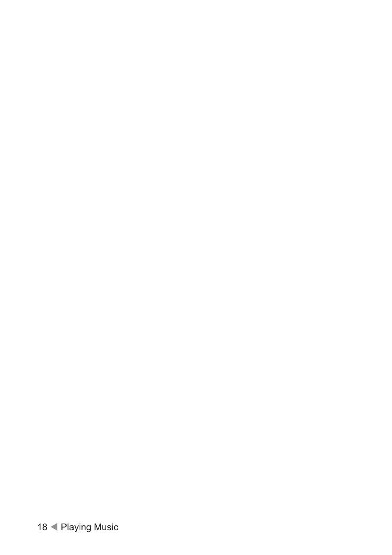**Playing Music**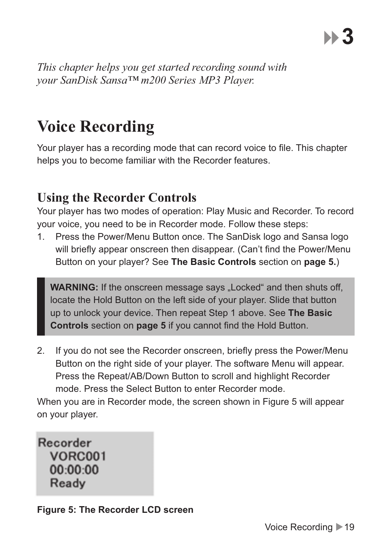*This chapter helps you get started recording sound with your SanDisk Sansa™ m200 Series MP3 Player.*

### **Voice Recording**

Your player has a recording mode that can record voice to file. This chapter helps you to become familiar with the Recorder features.

#### **Using the Recorder Controls**

Your player has two modes of operation: Play Music and Recorder. To record your voice, you need to be in Recorder mode. Follow these steps:

1. Press the Power/Menu Button once. The SanDisk logo and Sansa logo will briefly appear onscreen then disappear. (Can't find the Power/Menu Button on your player? See **The Basic Controls** section on **page 5.**)

**WARNING:** If the onscreen message says "Locked" and then shuts off, locate the Hold Button on the left side of your player. Slide that button up to unlock your device. Then repeat Step 1 above. See **The Basic Controls** section on **page 5** if you cannot find the Hold Button.

2. If you do not see the Recorder onscreen, briefly press the Power/Menu Button on the right side of your player. The software Menu will appear. Press the Repeat/AB/Down Button to scroll and highlight Recorder mode. Press the Select Button to enter Recorder mode.

When you are in Recorder mode, the screen shown in Figure 5 will appear on your player.

Recorder **VORC001**  $00:00:00$ Ready

**Figure 5: The Recorder LCD screen**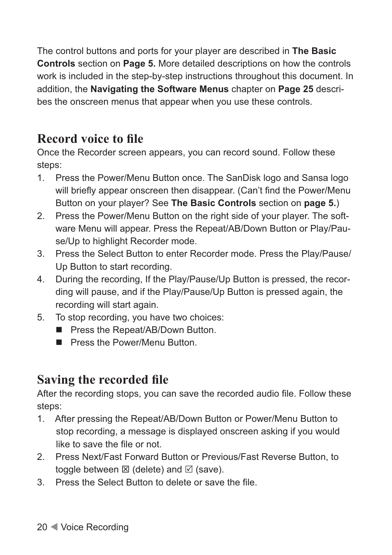The control buttons and ports for your player are described in **The Basic Controls** section on **Page 5.** More detailed descriptions on how the controls work is included in the step-by-step instructions throughout this document. In addition, the **Navigating the Software Menus** chapter on **Page 25** describes the onscreen menus that appear when you use these controls.

#### **Record voice to file**

Once the Recorder screen appears, you can record sound. Follow these steps:

- 1. Press the Power/Menu Button once. The SanDisk logo and Sansa logo will briefly appear onscreen then disappear. (Can't find the Power/Menu Button on your player? See **The Basic Controls** section on **page 5.**)
- 2. Press the Power/Menu Button on the right side of your player. The software Menu will appear. Press the Repeat/AB/Down Button or Play/Pause/Up to highlight Recorder mode.
- 3. Press the Select Button to enter Recorder mode. Press the Play/Pause/ Up Button to start recording.
- 4. During the recording, If the Play/Pause/Up Button is pressed, the recording will pause, and if the Play/Pause/Up Button is pressed again, the recording will start again.
- 5. To stop recording, you have two choices:
	- **Press the Repeat/AB/Down Button.**
	- **Press the Power/Menu Button.**

#### **Saving the recorded file**

After the recording stops, you can save the recorded audio file. Follow these steps:

- 1. After pressing the Repeat/AB/Down Button or Power/Menu Button to stop recording, a message is displayed onscreen asking if you would like to save the file or not.
- 2. Press Next/Fast Forward Button or Previous/Fast Reverse Button, to toggle between  $\boxtimes$  (delete) and  $\boxtimes$  (save).
- 3. Press the Select Button to delete or save the file.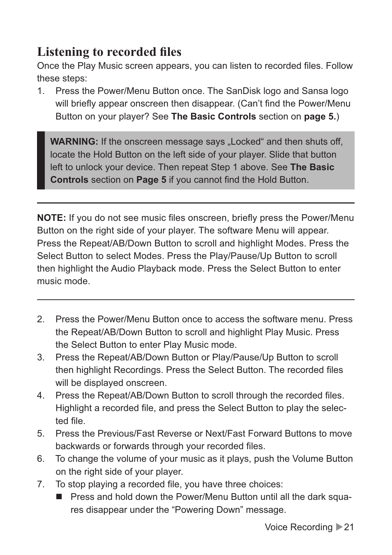#### **Listening to recorded files**

Once the Play Music screen appears, you can listen to recorded files. Follow these steps:

1. Press the Power/Menu Button once. The SanDisk logo and Sansa logo will briefly appear onscreen then disappear. (Can't find the Power/Menu Button on your player? See **The Basic Controls** section on **page 5.**)

**WARNING:** If the onscreen message says ..Locked" and then shuts off. locate the Hold Button on the left side of your player. Slide that button left to unlock your device. Then repeat Step 1 above. See **The Basic Controls** section on **Page 5** if you cannot find the Hold Button.

**NOTE:** If you do not see music files onscreen, briefly press the Power/Menu Button on the right side of your player. The software Menu will appear. Press the Repeat/AB/Down Button to scroll and highlight Modes. Press the Select Button to select Modes. Press the Play/Pause/Up Button to scroll then highlight the Audio Playback mode. Press the Select Button to enter music mode.

- 2. Press the Power/Menu Button once to access the software menu. Press the Repeat/AB/Down Button to scroll and highlight Play Music. Press the Select Button to enter Play Music mode.
- 3. Press the Repeat/AB/Down Button or Play/Pause/Up Button to scroll then highlight Recordings. Press the Select Button. The recorded files will be displayed onscreen.
- 4. Press the Repeat/AB/Down Button to scroll through the recorded files. Highlight a recorded file, and press the Select Button to play the selected file.
- 5. Press the Previous/Fast Reverse or Next/Fast Forward Buttons to move backwards or forwards through your recorded files.
- 6. To change the volume of your music as it plays, push the Volume Button on the right side of your player.
- 7. To stop playing a recorded file, you have three choices:
	- Press and hold down the Power/Menu Button until all the dark squares disappear under the "Powering Down" message.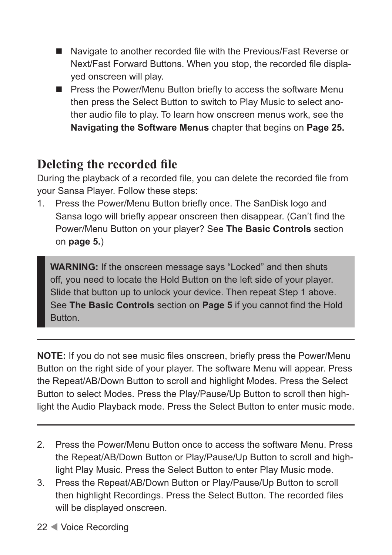- Navigate to another recorded file with the Previous/Fast Reverse or Next/Fast Forward Buttons. When you stop, the recorded file displayed onscreen will play.
- **Press the Power/Menu Button briefly to access the software Menu** then press the Select Button to switch to Play Music to select another audio file to play. To learn how onscreen menus work, see the **Navigating the Software Menus** chapter that begins on **Page 25.**

#### **Deleting the recorded file**

During the playback of a recorded file, you can delete the recorded file from your Sansa Player. Follow these steps:

1. Press the Power/Menu Button briefly once. The SanDisk logo and Sansa logo will briefly appear onscreen then disappear. (Can't find the Power/Menu Button on your player? See **The Basic Controls** section on **page 5.**)

**WARNING:** If the onscreen message says "Locked" and then shuts off, you need to locate the Hold Button on the left side of your player. Slide that button up to unlock your device. Then repeat Step 1 above. See **The Basic Controls** section on **Page 5** if you cannot find the Hold Button.

**NOTE:** If you do not see music files onscreen, briefly press the Power/Menu Button on the right side of your player. The software Menu will appear. Press the Repeat/AB/Down Button to scroll and highlight Modes. Press the Select Button to select Modes. Press the Play/Pause/Up Button to scroll then highlight the Audio Playback mode. Press the Select Button to enter music mode.

- 2. Press the Power/Menu Button once to access the software Menu. Press the Repeat/AB/Down Button or Play/Pause/Up Button to scroll and highlight Play Music. Press the Select Button to enter Play Music mode.
- 3. Press the Repeat/AB/Down Button or Play/Pause/Up Button to scroll then highlight Recordings. Press the Select Button. The recorded files will be displayed onscreen.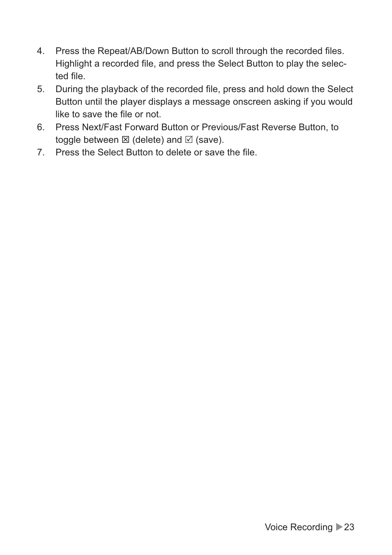- 4. Press the Repeat/AB/Down Button to scroll through the recorded files. Highlight a recorded file, and press the Select Button to play the selected file.
- 5. During the playback of the recorded file, press and hold down the Select Button until the player displays a message onscreen asking if you would like to save the file or not.
- 6. Press Next/Fast Forward Button or Previous/Fast Reverse Button, to toggle between  $\boxtimes$  (delete) and  $\boxtimes$  (save).
- 7. Press the Select Button to delete or save the file.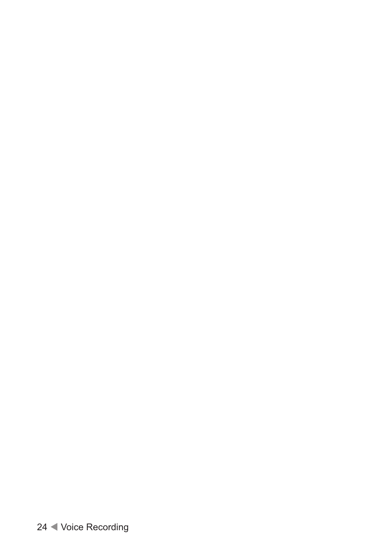24 Voice Recording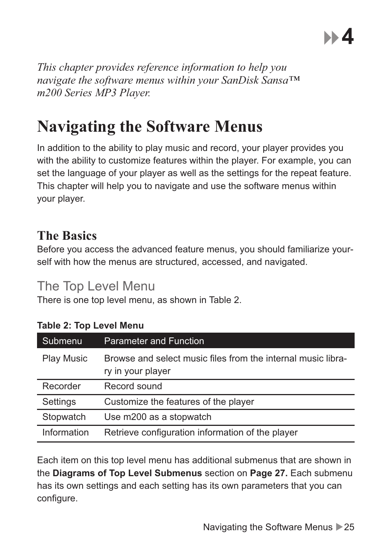*This chapter provides reference information to help you navigate the software menus within your SanDisk Sansa™ m200 Series MP3 Player.*

## **Navigating the Software Menus**

In addition to the ability to play music and record, your player provides you with the ability to customize features within the player. For example, you can set the language of your player as well as the settings for the repeat feature. This chapter will help you to navigate and use the software menus within your player.

#### **The Basics**

Before you access the advanced feature menus, you should familiarize yourself with how the menus are structured, accessed, and navigated.

#### The Top Level Menu

There is one top level menu, as shown in Table 2.

| Submenu           | <b>Parameter and Function</b>                                                     |  |  |
|-------------------|-----------------------------------------------------------------------------------|--|--|
| <b>Play Music</b> | Browse and select music files from the internal music libra-<br>ry in your player |  |  |
| Recorder          | Record sound                                                                      |  |  |
| Settings          | Customize the features of the player                                              |  |  |
| Stopwatch         | Use m200 as a stopwatch                                                           |  |  |
| Information       | Retrieve configuration information of the player                                  |  |  |

#### **Table 2: Top Level Menu**

Each item on this top level menu has additional submenus that are shown in the **Diagrams of Top Level Submenus** section on **Page 27.** Each submenu has its own settings and each setting has its own parameters that you can configure.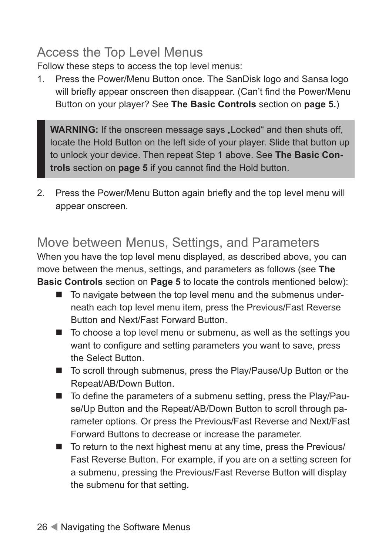#### Access the Top Level Menus

Follow these steps to access the top level menus:

1. Press the Power/Menu Button once. The SanDisk logo and Sansa logo will briefly appear onscreen then disappear. (Can't find the Power/Menu Button on your player? See **The Basic Controls** section on **page 5.**)

**WARNING:** If the onscreen message says "Locked" and then shuts off, locate the Hold Button on the left side of your player. Slide that button up to unlock your device. Then repeat Step 1 above. See **The Basic Controls** section on **page 5** if you cannot find the Hold button.

2. Press the Power/Menu Button again briefly and the top level menu will appear onscreen.

#### Move between Menus, Settings, and Parameters

When you have the top level menu displayed, as described above, you can move between the menus, settings, and parameters as follows (see **The Basic Controls** section on **Page 5** to locate the controls mentioned below):

- To navigate between the top level menu and the submenus underneath each top level menu item, press the Previous/Fast Reverse Button and Next/Fast Forward Button.
- $\blacksquare$  To choose a top level menu or submenu, as well as the settings you want to configure and setting parameters you want to save, press the Select Button.
- To scroll through submenus, press the Play/Pause/Up Button or the Repeat/AB/Down Button.
- To define the parameters of a submenu setting, press the Play/Pause/Up Button and the Repeat/AB/Down Button to scroll through parameter options. Or press the Previous/Fast Reverse and Next/Fast Forward Buttons to decrease or increase the parameter.
- $\blacksquare$  To return to the next highest menu at any time, press the Previous/ Fast Reverse Button. For example, if you are on a setting screen for a submenu, pressing the Previous/Fast Reverse Button will display the submenu for that setting.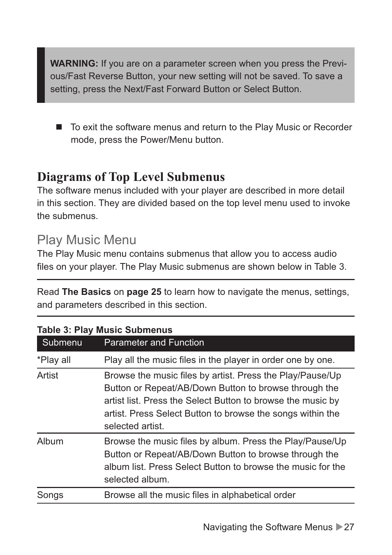**WARNING:** If you are on a parameter screen when you press the Previous/Fast Reverse Button, your new setting will not be saved. To save a setting, press the Next/Fast Forward Button or Select Button.

■ To exit the software menus and return to the Play Music or Recorder mode, press the Power/Menu button.

#### **Diagrams of Top Level Submenus**

The software menus included with your player are described in more detail in this section. They are divided based on the top level menu used to invoke the submenus.

#### Play Music Menu

The Play Music menu contains submenus that allow you to access audio files on your player. The Play Music submenus are shown below in Table 3.

Read **The Basics** on **page 25** to learn how to navigate the menus, settings, and parameters described in this section.

| Submenu   | <b>Parameter and Function</b>                                                                                                                                                                                                                                       |
|-----------|---------------------------------------------------------------------------------------------------------------------------------------------------------------------------------------------------------------------------------------------------------------------|
| *Play all | Play all the music files in the player in order one by one.                                                                                                                                                                                                         |
| Artist    | Browse the music files by artist. Press the Play/Pause/Up<br>Button or Repeat/AB/Down Button to browse through the<br>artist list. Press the Select Button to browse the music by<br>artist. Press Select Button to browse the songs within the<br>selected artist. |
| Album     | Browse the music files by album. Press the Play/Pause/Up<br>Button or Repeat/AB/Down Button to browse through the<br>album list. Press Select Button to browse the music for the<br>selected album.                                                                 |
| Songs     | Browse all the music files in alphabetical order                                                                                                                                                                                                                    |

#### **Table 3: Play Music Submenus**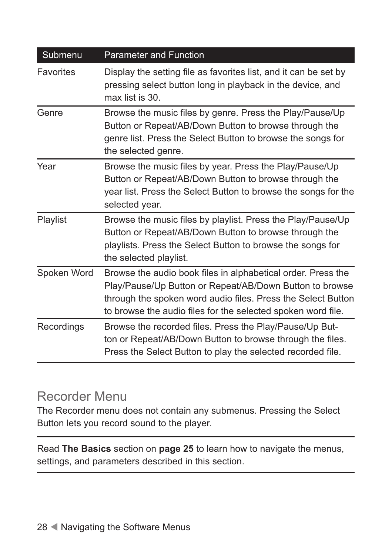| Submenu     | <b>Parameter and Function</b>                                                                                                                                                                                                                           |
|-------------|---------------------------------------------------------------------------------------------------------------------------------------------------------------------------------------------------------------------------------------------------------|
| Favorites   | Display the setting file as favorites list, and it can be set by<br>pressing select button long in playback in the device, and<br>max list is 30.                                                                                                       |
| Genre       | Browse the music files by genre. Press the Play/Pause/Up<br>Button or Repeat/AB/Down Button to browse through the<br>genre list. Press the Select Button to browse the songs for<br>the selected genre.                                                 |
| Year        | Browse the music files by year. Press the Play/Pause/Up<br>Button or Repeat/AB/Down Button to browse through the<br>year list. Press the Select Button to browse the songs for the<br>selected year.                                                    |
| Playlist    | Browse the music files by playlist. Press the Play/Pause/Up<br>Button or Repeat/AB/Down Button to browse through the<br>playlists. Press the Select Button to browse the songs for<br>the selected playlist.                                            |
| Spoken Word | Browse the audio book files in alphabetical order. Press the<br>Play/Pause/Up Button or Repeat/AB/Down Button to browse<br>through the spoken word audio files. Press the Select Button<br>to browse the audio files for the selected spoken word file. |
| Recordings  | Browse the recorded files. Press the Play/Pause/Up But-<br>ton or Repeat/AB/Down Button to browse through the files.<br>Press the Select Button to play the selected recorded file.                                                                     |

#### Recorder Menu

The Recorder menu does not contain any submenus. Pressing the Select Button lets you record sound to the player.

Read **The Basics** section on **page 25** to learn how to navigate the menus, settings, and parameters described in this section.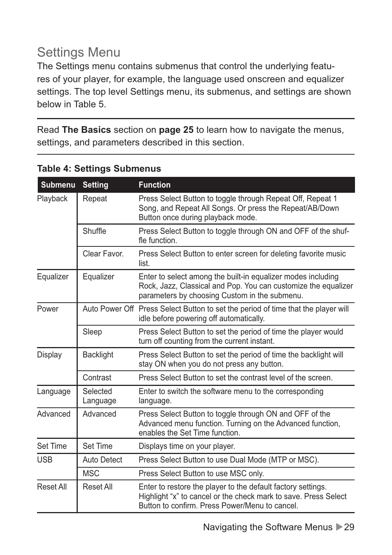### Settings Menu

The Settings menu contains submenus that control the underlying features of your player, for example, the language used onscreen and equalizer settings. The top level Settings menu, its submenus, and settings are shown below in Table 5.

Read **The Basics** section on **page 25** to learn how to navigate the menus, settings, and parameters described in this section.

| <b>Submenu</b>   | <b>Setting</b>       | <b>Function</b>                                                                                                                                                                   |
|------------------|----------------------|-----------------------------------------------------------------------------------------------------------------------------------------------------------------------------------|
| Playback         | Repeat               | Press Select Button to toggle through Repeat Off, Repeat 1<br>Song, and Repeat All Songs. Or press the Repeat/AB/Down<br>Button once during playback mode.                        |
|                  | Shuffle              | Press Select Button to toggle through ON and OFF of the shuf-<br>fle function.                                                                                                    |
|                  | Clear Favor.         | Press Select Button to enter screen for deleting favorite music<br>list.                                                                                                          |
| Equalizer        | Equalizer            | Enter to select among the built-in equalizer modes including<br>Rock, Jazz, Classical and Pop. You can customize the equalizer<br>parameters by choosing Custom in the submenu.   |
| Power            |                      | Auto Power Off Press Select Button to set the period of time that the player will<br>idle before powering off automatically.                                                      |
|                  | Sleep                | Press Select Button to set the period of time the player would<br>turn off counting from the current instant.                                                                     |
| Display          | <b>Backlight</b>     | Press Select Button to set the period of time the backlight will<br>stay ON when you do not press any button.                                                                     |
|                  | Contrast             | Press Select Button to set the contrast level of the screen.                                                                                                                      |
| Language         | Selected<br>Language | Enter to switch the software menu to the corresponding<br>language.                                                                                                               |
| Advanced         | Advanced             | Press Select Button to toggle through ON and OFF of the<br>Advanced menu function. Turning on the Advanced function,<br>enables the Set Time function.                            |
| Set Time         | Set Time             | Displays time on your player.                                                                                                                                                     |
| <b>USB</b>       | Auto Detect          | Press Select Button to use Dual Mode (MTP or MSC).                                                                                                                                |
|                  | <b>MSC</b>           | Press Select Button to use MSC only.                                                                                                                                              |
| <b>Reset All</b> | Reset All            | Enter to restore the player to the default factory settings.<br>Highlight "x" to cancel or the check mark to save. Press Select<br>Button to confirm. Press Power/Menu to cancel. |

**Table 4: Settings Submenus**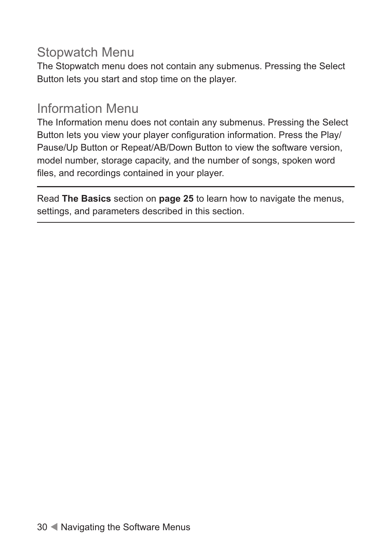#### Stopwatch Menu

The Stopwatch menu does not contain any submenus. Pressing the Select Button lets you start and stop time on the player.

#### Information Menu

The Information menu does not contain any submenus. Pressing the Select Button lets you view your player configuration information. Press the Play/ Pause/Up Button or Repeat/AB/Down Button to view the software version, model number, storage capacity, and the number of songs, spoken word files, and recordings contained in your player.

Read **The Basics** section on **page 25** to learn how to navigate the menus, settings, and parameters described in this section.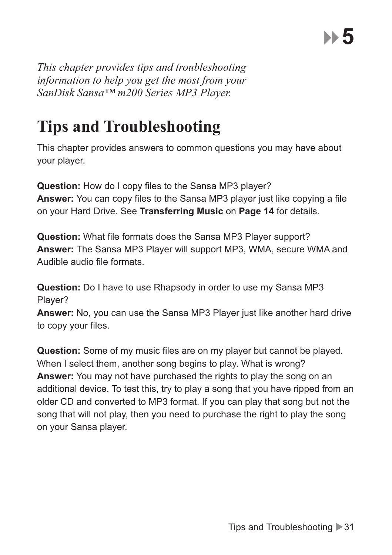*This chapter provides tips and troubleshooting information to help you get the most from your SanDisk Sansa™ m200 Series MP3 Player.*

## **Tips and Troubleshooting**

This chapter provides answers to common questions you may have about your player.

**Question:** How do I copy files to the Sansa MP3 player? **Answer:** You can copy files to the Sansa MP3 player just like copying a file on your Hard Drive. See **Transferring Music** on **Page 14** for details.

**Question:** What file formats does the Sansa MP3 Player support? **Answer:** The Sansa MP3 Player will support MP3, WMA, secure WMA and Audible audio file formats.

**Question:** Do I have to use Rhapsody in order to use my Sansa MP3 Player?

**Answer:** No, you can use the Sansa MP3 Player just like another hard drive to copy your files.

**Question:** Some of my music files are on my player but cannot be played. When I select them, another song begins to play. What is wrong? **Answer:** You may not have purchased the rights to play the song on an additional device. To test this, try to play a song that you have ripped from an older CD and converted to MP3 format. If you can play that song but not the song that will not play, then you need to purchase the right to play the song on your Sansa player.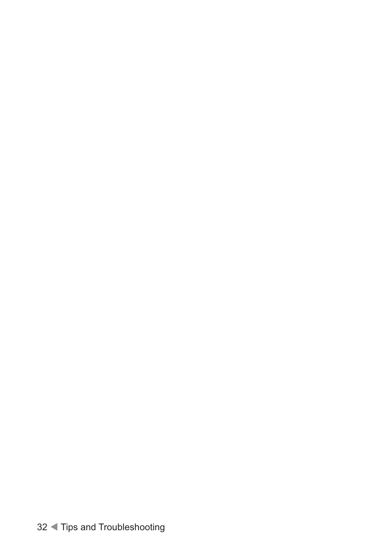**Tips and Troubleshooting**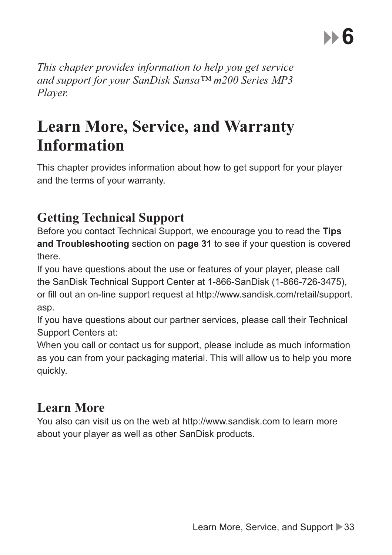*This chapter provides information to help you get service and support for your SanDisk Sansa™ m200 Series MP3 Player.*

### **Learn More, Service, and Warranty Information**

This chapter provides information about how to get support for your player and the terms of your warranty.

#### **Getting Technical Support**

Before you contact Technical Support, we encourage you to read the **Tips and Troubleshooting** section on **page 31** to see if your question is covered there.

If you have questions about the use or features of your player, please call the SanDisk Technical Support Center at 1-866-SanDisk (1-866-726-3475), or fill out an on-line support request at http://www.sandisk.com/retail/support. asp.

If you have questions about our partner services, please call their Technical Support Centers at:

When you call or contact us for support, please include as much information as you can from your packaging material. This will allow us to help you more quickly.

#### **Learn More**

You also can visit us on the web at http://www.sandisk.com to learn more about your player as well as other SanDisk products.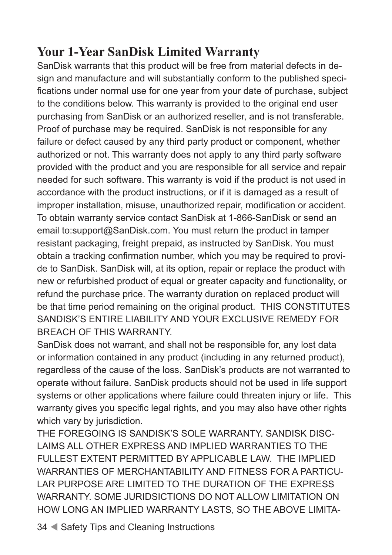#### **Your 1-Year SanDisk Limited Warranty**

SanDisk warrants that this product will be free from material defects in design and manufacture and will substantially conform to the published specifications under normal use for one year from your date of purchase, subject to the conditions below. This warranty is provided to the original end user purchasing from SanDisk or an authorized reseller, and is not transferable. Proof of purchase may be required. SanDisk is not responsible for any failure or defect caused by any third party product or component, whether authorized or not. This warranty does not apply to any third party software provided with the product and you are responsible for all service and repair needed for such software. This warranty is void if the product is not used in accordance with the product instructions, or if it is damaged as a result of improper installation, misuse, unauthorized repair, modification or accident. To obtain warranty service contact SanDisk at 1-866-SanDisk or send an email to:support@SanDisk.com. You must return the product in tamper resistant packaging, freight prepaid, as instructed by SanDisk. You must obtain a tracking confirmation number, which you may be required to provide to SanDisk. SanDisk will, at its option, repair or replace the product with new or refurbished product of equal or greater capacity and functionality, or refund the purchase price. The warranty duration on replaced product will be that time period remaining on the original product. THIS CONSTITUTES SANDISK'S ENTIRE LIABILITY AND YOUR EXCLUSIVE REMEDY FOR BREACH OF THIS WARRANTY.

SanDisk does not warrant, and shall not be responsible for, any lost data or information contained in any product (including in any returned product), regardless of the cause of the loss. SanDisk's products are not warranted to operate without failure. SanDisk products should not be used in life support systems or other applications where failure could threaten injury or life. This warranty gives you specific legal rights, and you may also have other rights which vary by jurisdiction.

THE FOREGOING IS SANDISK'S SOLE WARRANTY. SANDISK DISC-LAIMS ALL OTHER EXPRESS AND IMPLIED WARRANTIES TO THE FULLEST EXTENT PERMITTED BY APPLICABLE LAW. THE IMPLIED WARRANTIES OF MERCHANTABILITY AND FITNESS FOR A PARTICU-LAR PURPOSE ARE LIMITED TO THE DURATION OF THE EXPRESS WARRANTY. SOME JURIDSICTIONS DO NOT ALLOW LIMITATION ON HOW LONG AN IMPLIED WARRANTY LASTS, SO THE ABOVE LIMITA-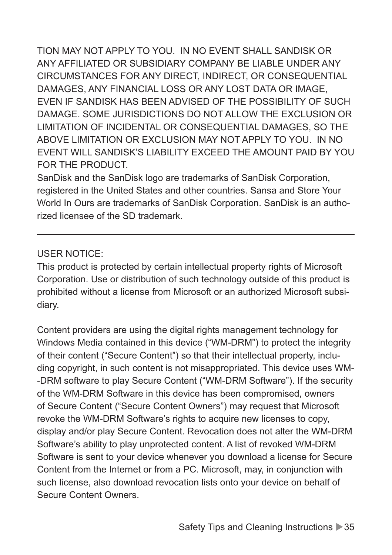TION MAY NOT APPLY TO YOU. IN NO EVENT SHALL SANDISK OR ANY AFFILIATED OR SUBSIDIARY COMPANY BE LIABLE UNDER ANY CIRCUMSTANCES FOR ANY DIRECT, INDIRECT, OR CONSEQUENTIAL DAMAGES, ANY FINANCIAL LOSS OR ANY LOST DATA OR IMAGE, EVEN IF SANDISK HAS BEEN ADVISED OF THE POSSIBILITY OF SUCH DAMAGE. SOME JURISDICTIONS DO NOT ALLOW THE EXCLUSION OR LIMITATION OF INCIDENTAL OR CONSEQUENTIAL DAMAGES, SO THE ABOVE LIMITATION OR EXCLUSION MAY NOT APPLY TO YOU. IN NO EVENT WILL SANDISK'S LIABILITY EXCEED THE AMOUNT PAID BY YOU FOR THE PRODUCT.

SanDisk and the SanDisk logo are trademarks of SanDisk Corporation, registered in the United States and other countries. Sansa and Store Your World In Ours are trademarks of SanDisk Corporation. SanDisk is an authorized licensee of the SD trademark.

#### USER NOTICE:

This product is protected by certain intellectual property rights of Microsoft Corporation. Use or distribution of such technology outside of this product is prohibited without a license from Microsoft or an authorized Microsoft subsidiary.

Content providers are using the digital rights management technology for Windows Media contained in this device ("WM-DRM") to protect the integrity of their content ("Secure Content") so that their intellectual property, including copyright, in such content is not misappropriated. This device uses WM- -DRM software to play Secure Content ("WM-DRM Software"). If the security of the WM-DRM Software in this device has been compromised, owners of Secure Content ("Secure Content Owners") may request that Microsoft revoke the WM-DRM Software's rights to acquire new licenses to copy, display and/or play Secure Content. Revocation does not alter the WM-DRM Software's ability to play unprotected content. A list of revoked WM-DRM Software is sent to your device whenever you download a license for Secure Content from the Internet or from a PC. Microsoft, may, in conjunction with such license, also download revocation lists onto your device on behalf of Secure Content Owners.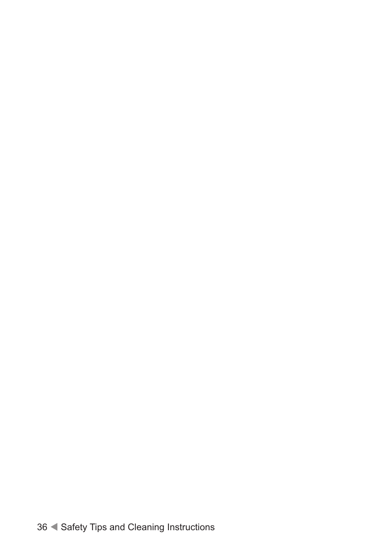36 < Safety Tips and Cleaning Instructions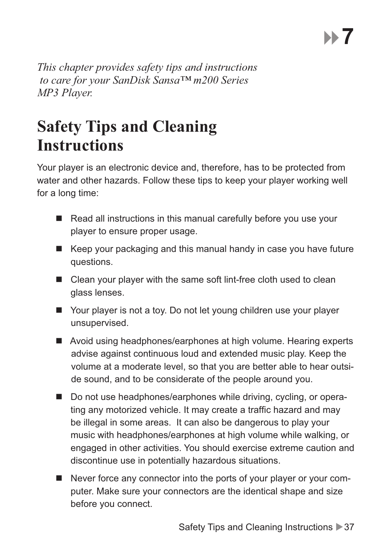*This chapter provides safety tips and instructions to care for your SanDisk Sansa™ m200 Series MP3 Player.*

## **Safety Tips and Cleaning Instructions**

Your player is an electronic device and, therefore, has to be protected from water and other hazards. Follow these tips to keep your player working well for a long time:

- Read all instructions in this manual carefully before you use your player to ensure proper usage.
- Keep your packaging and this manual handy in case you have future questions.
- Clean your player with the same soft lint-free cloth used to clean glass lenses.
- Your player is not a toy. Do not let young children use your player unsupervised.
- Avoid using headphones/earphones at high volume. Hearing experts advise against continuous loud and extended music play. Keep the volume at a moderate level, so that you are better able to hear outside sound, and to be considerate of the people around you.
- Do not use headphones/earphones while driving, cycling, or operating any motorized vehicle. It may create a traffic hazard and may be illegal in some areas. It can also be dangerous to play your music with headphones/earphones at high volume while walking, or engaged in other activities. You should exercise extreme caution and discontinue use in potentially hazardous situations.
- Never force any connector into the ports of your player or your computer. Make sure your connectors are the identical shape and size before you connect.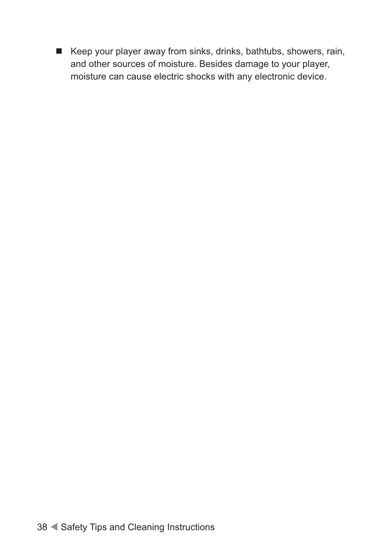■ Keep your player away from sinks, drinks, bathtubs, showers, rain, and other sources of moisture. Besides damage to your player, moisture can cause electric shocks with any electronic device.